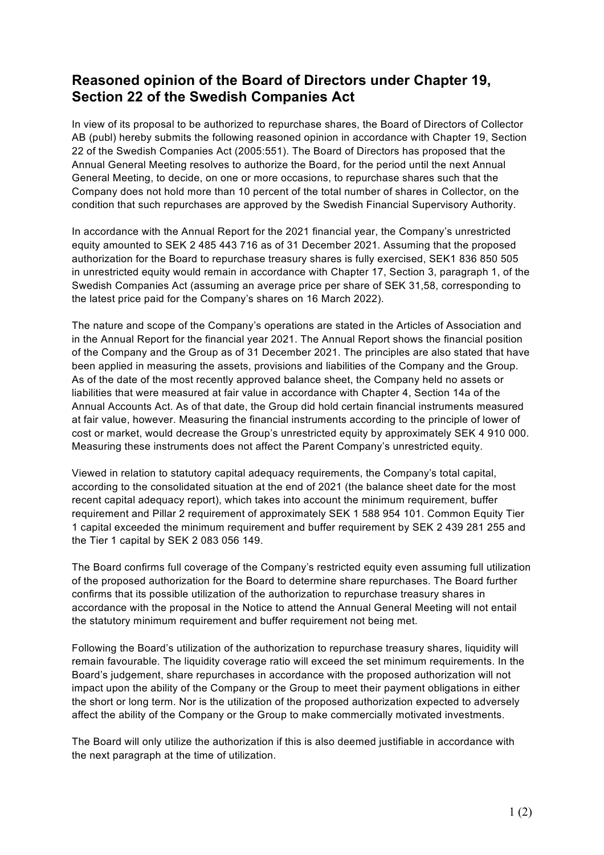## **Reasoned opinion of the Board of Directors under Chapter 19, Section 22 of the Swedish Companies Act**

In view of its proposal to be authorized to repurchase shares, the Board of Directors of Collector AB (publ) hereby submits the following reasoned opinion in accordance with Chapter 19, Section 22 of the Swedish Companies Act (2005:551). The Board of Directors has proposed that the Annual General Meeting resolves to authorize the Board, for the period until the next Annual General Meeting, to decide, on one or more occasions, to repurchase shares such that the Company does not hold more than 10 percent of the total number of shares in Collector, on the condition that such repurchases are approved by the Swedish Financial Supervisory Authority.

In accordance with the Annual Report for the 2021 financial year, the Company's unrestricted equity amounted to SEK 2 485 443 716 as of 31 December 2021. Assuming that the proposed authorization for the Board to repurchase treasury shares is fully exercised, SEK1 836 850 505 in unrestricted equity would remain in accordance with Chapter 17, Section 3, paragraph 1, of the Swedish Companies Act (assuming an average price per share of SEK 31,58, corresponding to the latest price paid for the Company's shares on 16 March 2022).

The nature and scope of the Company's operations are stated in the Articles of Association and in the Annual Report for the financial year 2021. The Annual Report shows the financial position of the Company and the Group as of 31 December 2021. The principles are also stated that have been applied in measuring the assets, provisions and liabilities of the Company and the Group. As of the date of the most recently approved balance sheet, the Company held no assets or liabilities that were measured at fair value in accordance with Chapter 4, Section 14a of the Annual Accounts Act. As of that date, the Group did hold certain financial instruments measured at fair value, however. Measuring the financial instruments according to the principle of lower of cost or market, would decrease the Group's unrestricted equity by approximately SEK 4 910 000. Measuring these instruments does not affect the Parent Company's unrestricted equity.

Viewed in relation to statutory capital adequacy requirements, the Company's total capital, according to the consolidated situation at the end of 2021 (the balance sheet date for the most recent capital adequacy report), which takes into account the minimum requirement, buffer requirement and Pillar 2 requirement of approximately SEK 1 588 954 101. Common Equity Tier 1 capital exceeded the minimum requirement and buffer requirement by SEK 2 439 281 255 and the Tier 1 capital by SEK 2 083 056 149.

The Board confirms full coverage of the Company's restricted equity even assuming full utilization of the proposed authorization for the Board to determine share repurchases. The Board further confirms that its possible utilization of the authorization to repurchase treasury shares in accordance with the proposal in the Notice to attend the Annual General Meeting will not entail the statutory minimum requirement and buffer requirement not being met.

Following the Board's utilization of the authorization to repurchase treasury shares, liquidity will remain favourable. The liquidity coverage ratio will exceed the set minimum requirements. In the Board's judgement, share repurchases in accordance with the proposed authorization will not impact upon the ability of the Company or the Group to meet their payment obligations in either the short or long term. Nor is the utilization of the proposed authorization expected to adversely affect the ability of the Company or the Group to make commercially motivated investments.

The Board will only utilize the authorization if this is also deemed justifiable in accordance with the next paragraph at the time of utilization.